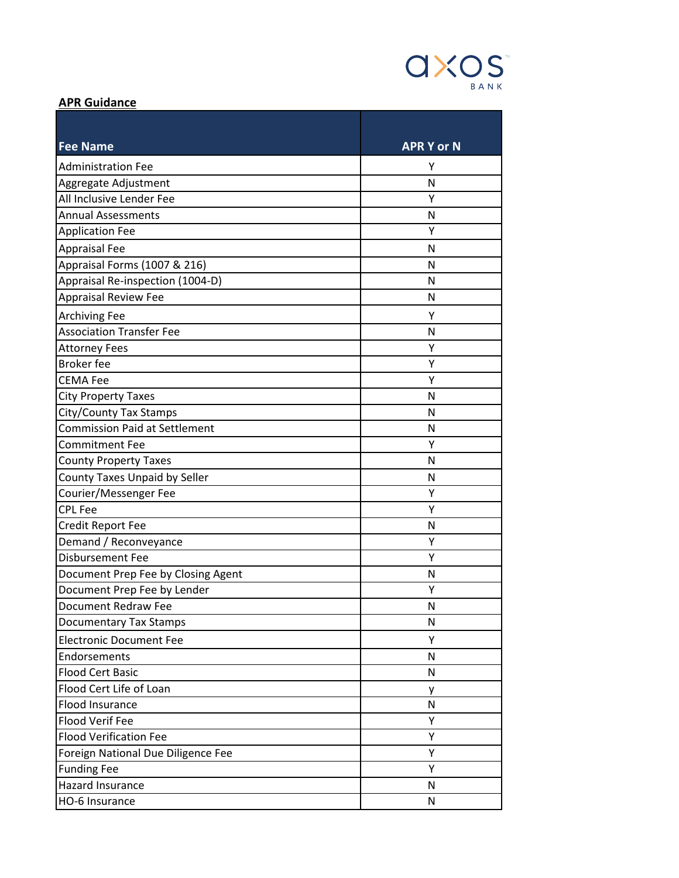

## **APR Guidance**

| <b>Fee Name</b>                      | <b>APR Y or N</b> |
|--------------------------------------|-------------------|
| <b>Administration Fee</b>            | Υ                 |
| Aggregate Adjustment                 | N                 |
| All Inclusive Lender Fee             | Y                 |
| <b>Annual Assessments</b>            | N                 |
| <b>Application Fee</b>               | Υ                 |
| <b>Appraisal Fee</b>                 | N                 |
| Appraisal Forms (1007 & 216)         | N                 |
| Appraisal Re-inspection (1004-D)     | N                 |
| <b>Appraisal Review Fee</b>          | N                 |
| <b>Archiving Fee</b>                 | Υ                 |
| <b>Association Transfer Fee</b>      | N                 |
| <b>Attorney Fees</b>                 | Υ                 |
| <b>Broker</b> fee                    | Υ                 |
| <b>CEMA Fee</b>                      | Y                 |
| <b>City Property Taxes</b>           | N                 |
| City/County Tax Stamps               | N                 |
| <b>Commission Paid at Settlement</b> | N                 |
| <b>Commitment Fee</b>                | Y                 |
| <b>County Property Taxes</b>         | N                 |
| County Taxes Unpaid by Seller        | N                 |
| Courier/Messenger Fee                | Y                 |
| <b>CPL Fee</b>                       | Υ                 |
| Credit Report Fee                    | N                 |
| Demand / Reconveyance                | Υ                 |
| <b>Disbursement Fee</b>              | Y                 |
| Document Prep Fee by Closing Agent   | N                 |
| Document Prep Fee by Lender          | Υ                 |
| <b>Document Redraw Fee</b>           | N                 |
| <b>Documentary Tax Stamps</b>        | N                 |
| <b>Electronic Document Fee</b>       | Υ                 |
| Endorsements                         | N                 |
| <b>Flood Cert Basic</b>              | N                 |
| Flood Cert Life of Loan              | y                 |
| Flood Insurance                      | N                 |
| <b>Flood Verif Fee</b>               | Υ                 |
| <b>Flood Verification Fee</b>        | Υ                 |
| Foreign National Due Diligence Fee   | Υ                 |
| <b>Funding Fee</b>                   | Υ                 |
| Hazard Insurance                     | N                 |
| HO-6 Insurance                       | N                 |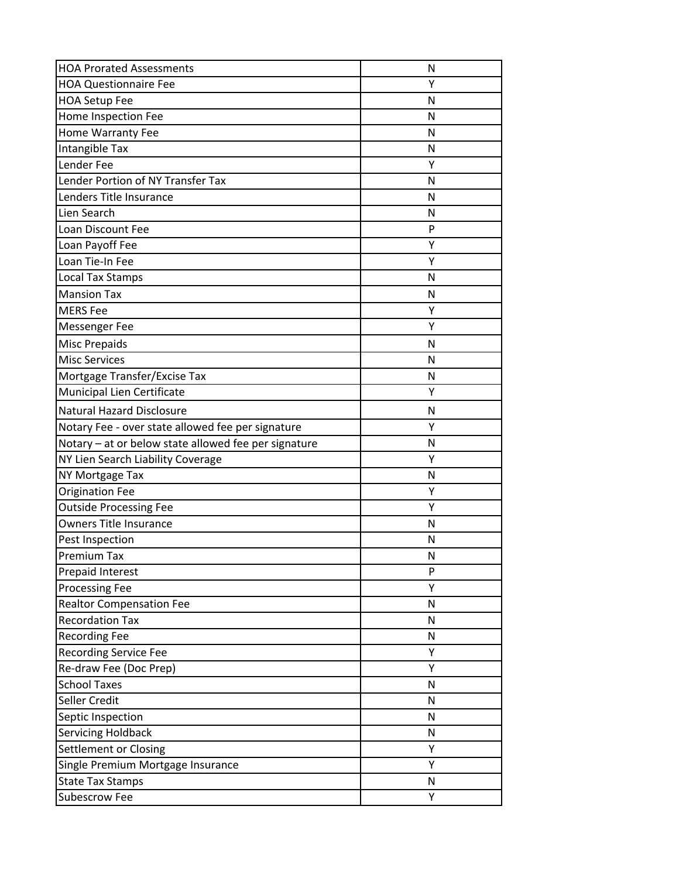| <b>HOA Prorated Assessments</b>                      | N |
|------------------------------------------------------|---|
| <b>HOA Questionnaire Fee</b>                         | Υ |
| <b>HOA Setup Fee</b>                                 | N |
| Home Inspection Fee                                  | N |
| Home Warranty Fee                                    | N |
| Intangible Tax                                       | N |
| Lender Fee                                           | Y |
| Lender Portion of NY Transfer Tax                    | N |
| Lenders Title Insurance                              | N |
| Lien Search                                          | N |
| Loan Discount Fee                                    | P |
| Loan Payoff Fee                                      | Υ |
| Loan Tie-In Fee                                      | Υ |
| <b>Local Tax Stamps</b>                              | N |
| <b>Mansion Tax</b>                                   | N |
| <b>MERS</b> Fee                                      | Υ |
| Messenger Fee                                        | Y |
| <b>Misc Prepaids</b>                                 | N |
| <b>Misc Services</b>                                 | N |
| Mortgage Transfer/Excise Tax                         | N |
| Municipal Lien Certificate                           | Υ |
| <b>Natural Hazard Disclosure</b>                     | N |
| Notary Fee - over state allowed fee per signature    | Υ |
| Notary - at or below state allowed fee per signature | N |
| NY Lien Search Liability Coverage                    | Υ |
| NY Mortgage Tax                                      | N |
| <b>Origination Fee</b>                               | Υ |
| <b>Outside Processing Fee</b>                        | Υ |
| <b>Owners Title Insurance</b>                        | N |
| Pest Inspection                                      | N |
| Premium Tax                                          | N |
| <b>Prepaid Interest</b>                              | P |
| <b>Processing Fee</b>                                | Υ |
| <b>Realtor Compensation Fee</b>                      | N |
| <b>Recordation Tax</b>                               | N |
| <b>Recording Fee</b>                                 | N |
| <b>Recording Service Fee</b>                         | Y |
| Re-draw Fee (Doc Prep)                               | Υ |
| <b>School Taxes</b>                                  | N |
| Seller Credit                                        | N |
| Septic Inspection                                    | N |
| Servicing Holdback                                   | N |
| Settlement or Closing                                | Y |
| Single Premium Mortgage Insurance                    | Υ |
| <b>State Tax Stamps</b>                              | N |
| <b>Subescrow Fee</b>                                 | Υ |